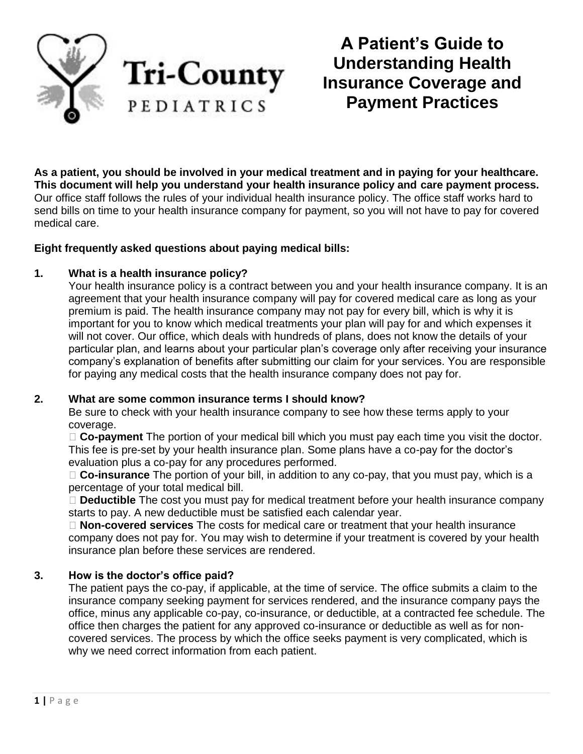

**A Patient's Guide to Understanding Health Insurance Coverage and Payment Practices**

**As a patient, you should be involved in your medical treatment and in paying for your healthcare. This document will help you understand your health insurance policy and care payment process.** Our office staff follows the rules of your individual health insurance policy. The office staff works hard to send bills on time to your health insurance company for payment, so you will not have to pay for covered medical care.

#### **Eight frequently asked questions about paying medical bills:**

#### **1. What is a health insurance policy?**

Your health insurance policy is a contract between you and your health insurance company. It is an agreement that your health insurance company will pay for covered medical care as long as your premium is paid. The health insurance company may not pay for every bill, which is why it is important for you to know which medical treatments your plan will pay for and which expenses it will not cover. Our office, which deals with hundreds of plans, does not know the details of your particular plan, and learns about your particular plan's coverage only after receiving your insurance company's explanation of benefits after submitting our claim for your services. You are responsible for paying any medical costs that the health insurance company does not pay for.

#### **2. What are some common insurance terms I should know?**

Be sure to check with your health insurance company to see how these terms apply to your coverage.

**Co-payment** The portion of your medical bill which you must pay each time you visit the doctor. This fee is pre-set by your health insurance plan. Some plans have a co-pay for the doctor's evaluation plus a co-pay for any procedures performed.

**Co-insurance** The portion of your bill, in addition to any co-pay, that you must pay, which is a percentage of your total medical bill.

**Deductible** The cost you must pay for medical treatment before your health insurance company starts to pay. A new deductible must be satisfied each calendar year.

**Non-covered services** The costs for medical care or treatment that your health insurance company does not pay for. You may wish to determine if your treatment is covered by your health insurance plan before these services are rendered.

# **3. How is the doctor's office paid?**

The patient pays the co-pay, if applicable, at the time of service. The office submits a claim to the insurance company seeking payment for services rendered, and the insurance company pays the office, minus any applicable co-pay, co-insurance, or deductible, at a contracted fee schedule. The office then charges the patient for any approved co-insurance or deductible as well as for noncovered services. The process by which the office seeks payment is very complicated, which is why we need correct information from each patient.